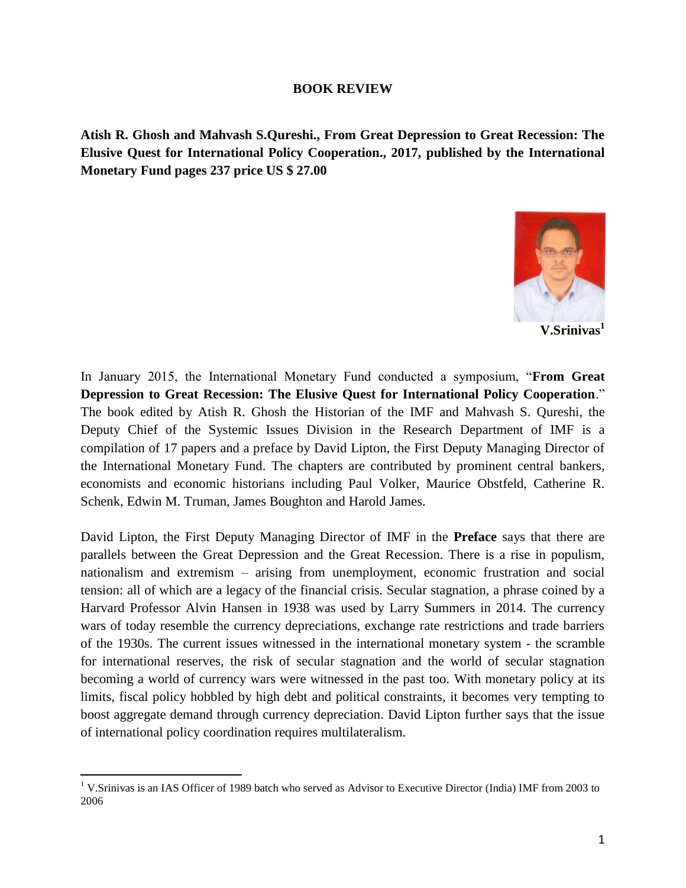## **BOOK REVIEW**

**Atish R. Ghosh and Mahvash S.Qureshi., From Great Depression to Great Recession: The Elusive Quest for International Policy Cooperation., 2017, published by the International Monetary Fund pages 237 price US \$ 27.00**



**V.Srinivas<sup>1</sup>**

In January 2015, the International Monetary Fund conducted a symposium, "**From Great Depression to Great Recession: The Elusive Quest for International Policy Cooperation**." The book edited by Atish R. Ghosh the Historian of the IMF and Mahvash S. Qureshi, the Deputy Chief of the Systemic Issues Division in the Research Department of IMF is a compilation of 17 papers and a preface by David Lipton, the First Deputy Managing Director of the International Monetary Fund. The chapters are contributed by prominent central bankers, economists and economic historians including Paul Volker, Maurice Obstfeld, Catherine R. Schenk, Edwin M. Truman, James Boughton and Harold James.

David Lipton, the First Deputy Managing Director of IMF in the **Preface** says that there are parallels between the Great Depression and the Great Recession. There is a rise in populism, nationalism and extremism – arising from unemployment, economic frustration and social tension: all of which are a legacy of the financial crisis. Secular stagnation, a phrase coined by a Harvard Professor Alvin Hansen in 1938 was used by Larry Summers in 2014. The currency wars of today resemble the currency depreciations, exchange rate restrictions and trade barriers of the 1930s. The current issues witnessed in the international monetary system - the scramble for international reserves, the risk of secular stagnation and the world of secular stagnation becoming a world of currency wars were witnessed in the past too. With monetary policy at its limits, fiscal policy hobbled by high debt and political constraints, it becomes very tempting to boost aggregate demand through currency depreciation. David Lipton further says that the issue of international policy coordination requires multilateralism.

 $\overline{a}$ <sup>1</sup> V.Srinivas is an IAS Officer of 1989 batch who served as Advisor to Executive Director (India) IMF from 2003 to 2006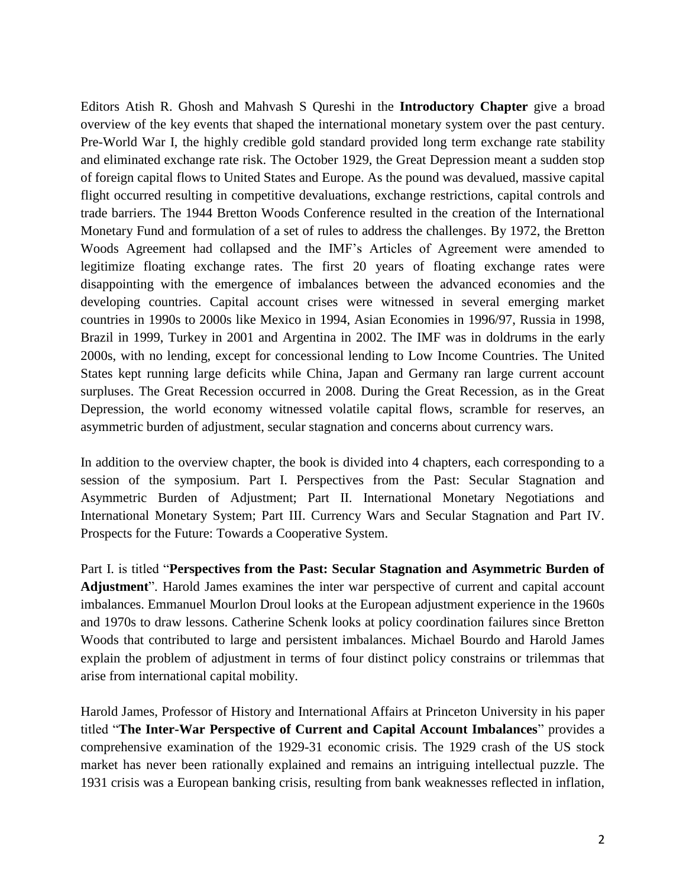Editors Atish R. Ghosh and Mahvash S Qureshi in the **Introductory Chapter** give a broad overview of the key events that shaped the international monetary system over the past century. Pre-World War I, the highly credible gold standard provided long term exchange rate stability and eliminated exchange rate risk. The October 1929, the Great Depression meant a sudden stop of foreign capital flows to United States and Europe. As the pound was devalued, massive capital flight occurred resulting in competitive devaluations, exchange restrictions, capital controls and trade barriers. The 1944 Bretton Woods Conference resulted in the creation of the International Monetary Fund and formulation of a set of rules to address the challenges. By 1972, the Bretton Woods Agreement had collapsed and the IMF's Articles of Agreement were amended to legitimize floating exchange rates. The first 20 years of floating exchange rates were disappointing with the emergence of imbalances between the advanced economies and the developing countries. Capital account crises were witnessed in several emerging market countries in 1990s to 2000s like Mexico in 1994, Asian Economies in 1996/97, Russia in 1998, Brazil in 1999, Turkey in 2001 and Argentina in 2002. The IMF was in doldrums in the early 2000s, with no lending, except for concessional lending to Low Income Countries. The United States kept running large deficits while China, Japan and Germany ran large current account surpluses. The Great Recession occurred in 2008. During the Great Recession, as in the Great Depression, the world economy witnessed volatile capital flows, scramble for reserves, an asymmetric burden of adjustment, secular stagnation and concerns about currency wars.

In addition to the overview chapter, the book is divided into 4 chapters, each corresponding to a session of the symposium. Part I. Perspectives from the Past: Secular Stagnation and Asymmetric Burden of Adjustment; Part II. International Monetary Negotiations and International Monetary System; Part III. Currency Wars and Secular Stagnation and Part IV. Prospects for the Future: Towards a Cooperative System.

Part I. is titled "**Perspectives from the Past: Secular Stagnation and Asymmetric Burden of Adjustment**". Harold James examines the inter war perspective of current and capital account imbalances. Emmanuel Mourlon Droul looks at the European adjustment experience in the 1960s and 1970s to draw lessons. Catherine Schenk looks at policy coordination failures since Bretton Woods that contributed to large and persistent imbalances. Michael Bourdo and Harold James explain the problem of adjustment in terms of four distinct policy constrains or trilemmas that arise from international capital mobility.

Harold James, Professor of History and International Affairs at Princeton University in his paper titled "**The Inter-War Perspective of Current and Capital Account Imbalances**" provides a comprehensive examination of the 1929-31 economic crisis. The 1929 crash of the US stock market has never been rationally explained and remains an intriguing intellectual puzzle. The 1931 crisis was a European banking crisis, resulting from bank weaknesses reflected in inflation,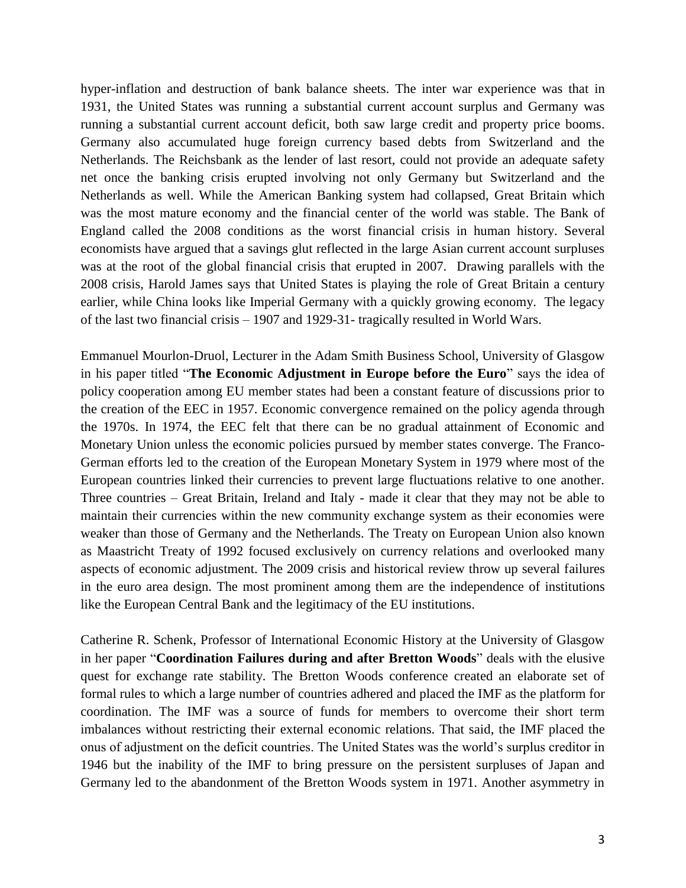hyper-inflation and destruction of bank balance sheets. The inter war experience was that in 1931, the United States was running a substantial current account surplus and Germany was running a substantial current account deficit, both saw large credit and property price booms. Germany also accumulated huge foreign currency based debts from Switzerland and the Netherlands. The Reichsbank as the lender of last resort, could not provide an adequate safety net once the banking crisis erupted involving not only Germany but Switzerland and the Netherlands as well. While the American Banking system had collapsed, Great Britain which was the most mature economy and the financial center of the world was stable. The Bank of England called the 2008 conditions as the worst financial crisis in human history. Several economists have argued that a savings glut reflected in the large Asian current account surpluses was at the root of the global financial crisis that erupted in 2007. Drawing parallels with the 2008 crisis, Harold James says that United States is playing the role of Great Britain a century earlier, while China looks like Imperial Germany with a quickly growing economy. The legacy of the last two financial crisis – 1907 and 1929-31- tragically resulted in World Wars.

Emmanuel Mourlon-Druol, Lecturer in the Adam Smith Business School, University of Glasgow in his paper titled "**The Economic Adjustment in Europe before the Euro**" says the idea of policy cooperation among EU member states had been a constant feature of discussions prior to the creation of the EEC in 1957. Economic convergence remained on the policy agenda through the 1970s. In 1974, the EEC felt that there can be no gradual attainment of Economic and Monetary Union unless the economic policies pursued by member states converge. The Franco-German efforts led to the creation of the European Monetary System in 1979 where most of the European countries linked their currencies to prevent large fluctuations relative to one another. Three countries – Great Britain, Ireland and Italy - made it clear that they may not be able to maintain their currencies within the new community exchange system as their economies were weaker than those of Germany and the Netherlands. The Treaty on European Union also known as Maastricht Treaty of 1992 focused exclusively on currency relations and overlooked many aspects of economic adjustment. The 2009 crisis and historical review throw up several failures in the euro area design. The most prominent among them are the independence of institutions like the European Central Bank and the legitimacy of the EU institutions.

Catherine R. Schenk, Professor of International Economic History at the University of Glasgow in her paper "**Coordination Failures during and after Bretton Woods**" deals with the elusive quest for exchange rate stability. The Bretton Woods conference created an elaborate set of formal rules to which a large number of countries adhered and placed the IMF as the platform for coordination. The IMF was a source of funds for members to overcome their short term imbalances without restricting their external economic relations. That said, the IMF placed the onus of adjustment on the deficit countries. The United States was the world's surplus creditor in 1946 but the inability of the IMF to bring pressure on the persistent surpluses of Japan and Germany led to the abandonment of the Bretton Woods system in 1971. Another asymmetry in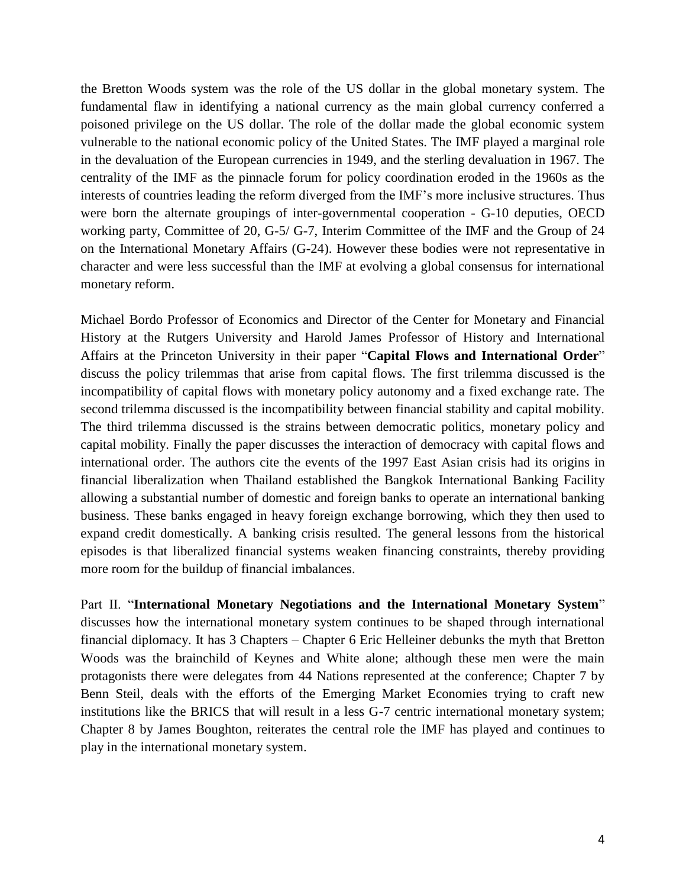the Bretton Woods system was the role of the US dollar in the global monetary system. The fundamental flaw in identifying a national currency as the main global currency conferred a poisoned privilege on the US dollar. The role of the dollar made the global economic system vulnerable to the national economic policy of the United States. The IMF played a marginal role in the devaluation of the European currencies in 1949, and the sterling devaluation in 1967. The centrality of the IMF as the pinnacle forum for policy coordination eroded in the 1960s as the interests of countries leading the reform diverged from the IMF's more inclusive structures. Thus were born the alternate groupings of inter-governmental cooperation - G-10 deputies, OECD working party, Committee of 20, G-5/ G-7, Interim Committee of the IMF and the Group of 24 on the International Monetary Affairs (G-24). However these bodies were not representative in character and were less successful than the IMF at evolving a global consensus for international monetary reform.

Michael Bordo Professor of Economics and Director of the Center for Monetary and Financial History at the Rutgers University and Harold James Professor of History and International Affairs at the Princeton University in their paper "**Capital Flows and International Order**" discuss the policy trilemmas that arise from capital flows. The first trilemma discussed is the incompatibility of capital flows with monetary policy autonomy and a fixed exchange rate. The second trilemma discussed is the incompatibility between financial stability and capital mobility. The third trilemma discussed is the strains between democratic politics, monetary policy and capital mobility. Finally the paper discusses the interaction of democracy with capital flows and international order. The authors cite the events of the 1997 East Asian crisis had its origins in financial liberalization when Thailand established the Bangkok International Banking Facility allowing a substantial number of domestic and foreign banks to operate an international banking business. These banks engaged in heavy foreign exchange borrowing, which they then used to expand credit domestically. A banking crisis resulted. The general lessons from the historical episodes is that liberalized financial systems weaken financing constraints, thereby providing more room for the buildup of financial imbalances.

Part II. "**International Monetary Negotiations and the International Monetary System**" discusses how the international monetary system continues to be shaped through international financial diplomacy. It has 3 Chapters – Chapter 6 Eric Helleiner debunks the myth that Bretton Woods was the brainchild of Keynes and White alone; although these men were the main protagonists there were delegates from 44 Nations represented at the conference; Chapter 7 by Benn Steil, deals with the efforts of the Emerging Market Economies trying to craft new institutions like the BRICS that will result in a less G-7 centric international monetary system; Chapter 8 by James Boughton, reiterates the central role the IMF has played and continues to play in the international monetary system.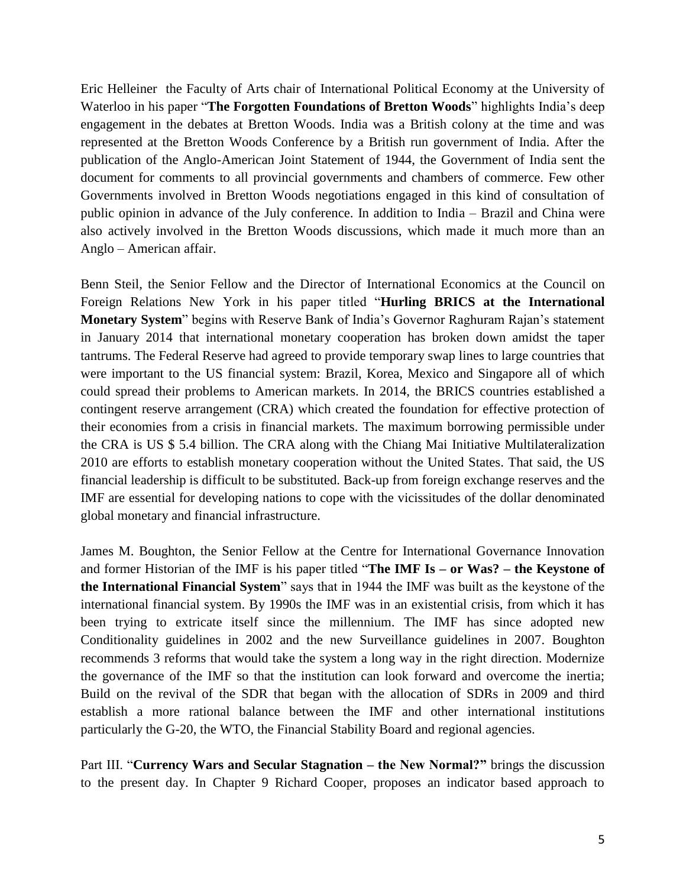Eric Helleiner the Faculty of Arts chair of International Political Economy at the University of Waterloo in his paper "**The Forgotten Foundations of Bretton Woods**" highlights India's deep engagement in the debates at Bretton Woods. India was a British colony at the time and was represented at the Bretton Woods Conference by a British run government of India. After the publication of the Anglo-American Joint Statement of 1944, the Government of India sent the document for comments to all provincial governments and chambers of commerce. Few other Governments involved in Bretton Woods negotiations engaged in this kind of consultation of public opinion in advance of the July conference. In addition to India – Brazil and China were also actively involved in the Bretton Woods discussions, which made it much more than an Anglo – American affair.

Benn Steil, the Senior Fellow and the Director of International Economics at the Council on Foreign Relations New York in his paper titled "**Hurling BRICS at the International Monetary System**" begins with Reserve Bank of India's Governor Raghuram Rajan's statement in January 2014 that international monetary cooperation has broken down amidst the taper tantrums. The Federal Reserve had agreed to provide temporary swap lines to large countries that were important to the US financial system: Brazil, Korea, Mexico and Singapore all of which could spread their problems to American markets. In 2014, the BRICS countries established a contingent reserve arrangement (CRA) which created the foundation for effective protection of their economies from a crisis in financial markets. The maximum borrowing permissible under the CRA is US \$ 5.4 billion. The CRA along with the Chiang Mai Initiative Multilateralization 2010 are efforts to establish monetary cooperation without the United States. That said, the US financial leadership is difficult to be substituted. Back-up from foreign exchange reserves and the IMF are essential for developing nations to cope with the vicissitudes of the dollar denominated global monetary and financial infrastructure.

James M. Boughton, the Senior Fellow at the Centre for International Governance Innovation and former Historian of the IMF is his paper titled "**The IMF Is – or Was? – the Keystone of the International Financial System**" says that in 1944 the IMF was built as the keystone of the international financial system. By 1990s the IMF was in an existential crisis, from which it has been trying to extricate itself since the millennium. The IMF has since adopted new Conditionality guidelines in 2002 and the new Surveillance guidelines in 2007. Boughton recommends 3 reforms that would take the system a long way in the right direction. Modernize the governance of the IMF so that the institution can look forward and overcome the inertia; Build on the revival of the SDR that began with the allocation of SDRs in 2009 and third establish a more rational balance between the IMF and other international institutions particularly the G-20, the WTO, the Financial Stability Board and regional agencies.

Part III. "**Currency Wars and Secular Stagnation – the New Normal?"** brings the discussion to the present day. In Chapter 9 Richard Cooper, proposes an indicator based approach to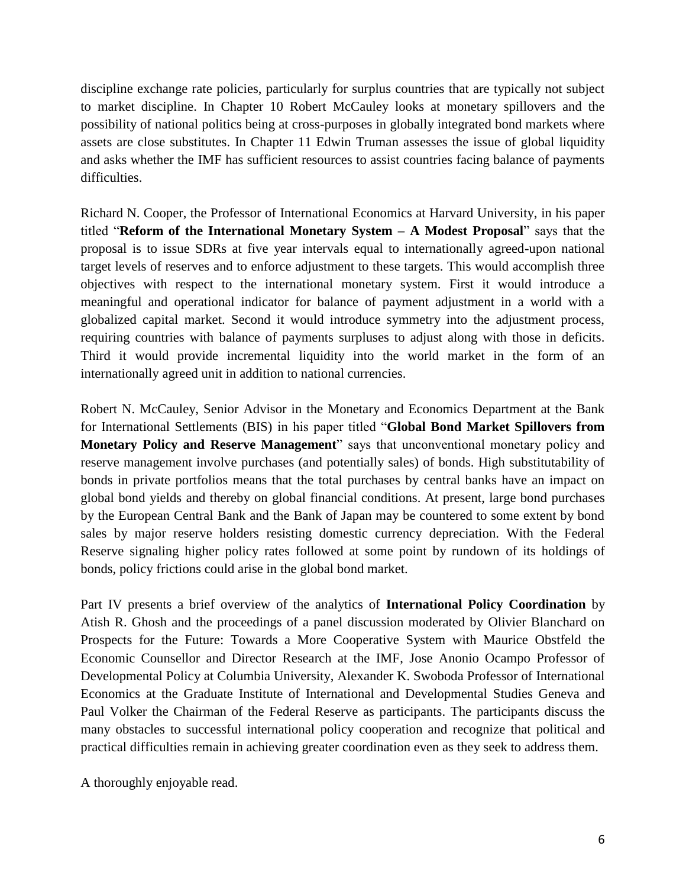discipline exchange rate policies, particularly for surplus countries that are typically not subject to market discipline. In Chapter 10 Robert McCauley looks at monetary spillovers and the possibility of national politics being at cross-purposes in globally integrated bond markets where assets are close substitutes. In Chapter 11 Edwin Truman assesses the issue of global liquidity and asks whether the IMF has sufficient resources to assist countries facing balance of payments difficulties.

Richard N. Cooper, the Professor of International Economics at Harvard University, in his paper titled "**Reform of the International Monetary System – A Modest Proposal**" says that the proposal is to issue SDRs at five year intervals equal to internationally agreed-upon national target levels of reserves and to enforce adjustment to these targets. This would accomplish three objectives with respect to the international monetary system. First it would introduce a meaningful and operational indicator for balance of payment adjustment in a world with a globalized capital market. Second it would introduce symmetry into the adjustment process, requiring countries with balance of payments surpluses to adjust along with those in deficits. Third it would provide incremental liquidity into the world market in the form of an internationally agreed unit in addition to national currencies.

Robert N. McCauley, Senior Advisor in the Monetary and Economics Department at the Bank for International Settlements (BIS) in his paper titled "**Global Bond Market Spillovers from Monetary Policy and Reserve Management**" says that unconventional monetary policy and reserve management involve purchases (and potentially sales) of bonds. High substitutability of bonds in private portfolios means that the total purchases by central banks have an impact on global bond yields and thereby on global financial conditions. At present, large bond purchases by the European Central Bank and the Bank of Japan may be countered to some extent by bond sales by major reserve holders resisting domestic currency depreciation. With the Federal Reserve signaling higher policy rates followed at some point by rundown of its holdings of bonds, policy frictions could arise in the global bond market.

Part IV presents a brief overview of the analytics of **International Policy Coordination** by Atish R. Ghosh and the proceedings of a panel discussion moderated by Olivier Blanchard on Prospects for the Future: Towards a More Cooperative System with Maurice Obstfeld the Economic Counsellor and Director Research at the IMF, Jose Anonio Ocampo Professor of Developmental Policy at Columbia University, Alexander K. Swoboda Professor of International Economics at the Graduate Institute of International and Developmental Studies Geneva and Paul Volker the Chairman of the Federal Reserve as participants. The participants discuss the many obstacles to successful international policy cooperation and recognize that political and practical difficulties remain in achieving greater coordination even as they seek to address them.

A thoroughly enjoyable read.